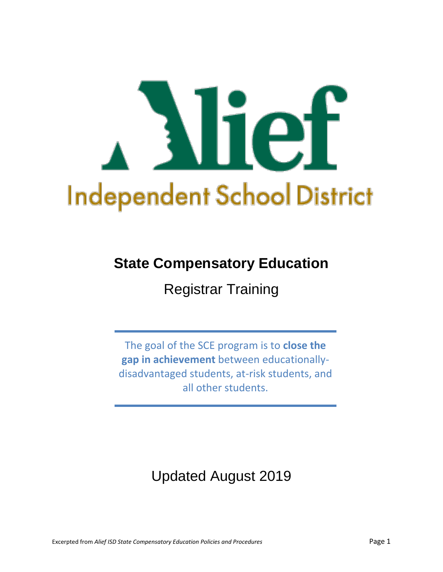

# **State Compensatory Education**

Registrar Training

The goal of the SCE program is to **close the gap in achievement** between educationallydisadvantaged students, at-risk students, and all other students.

Updated August 2019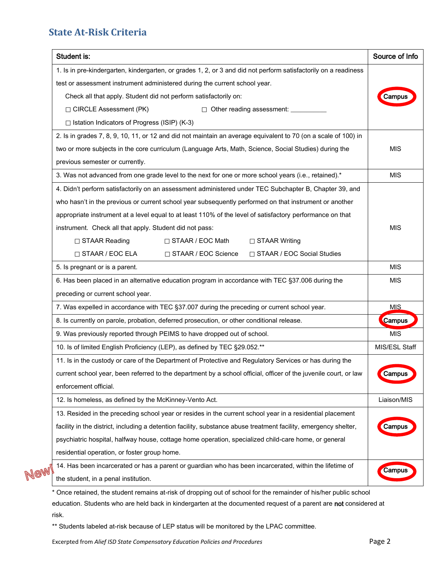### **State At-Risk Criteria**

| Student is:                                                                                                      | Source of Info |  |
|------------------------------------------------------------------------------------------------------------------|----------------|--|
| 1. Is in pre-kindergarten, kindergarten, or grades 1, 2, or 3 and did not perform satisfactorily on a readiness  |                |  |
| test or assessment instrument administered during the current school year.                                       |                |  |
| Check all that apply. Student did not perform satisfactorily on:                                                 | Campus         |  |
| □ CIRCLE Assessment (PK)<br>□ Other reading assessment: _______                                                  |                |  |
| $\Box$ Istation Indicators of Progress (ISIP) (K-3)                                                              |                |  |
| 2. Is in grades 7, 8, 9, 10, 11, or 12 and did not maintain an average equivalent to 70 (on a scale of 100) in   |                |  |
| two or more subjects in the core curriculum (Language Arts, Math, Science, Social Studies) during the            | <b>MIS</b>     |  |
| previous semester or currently.                                                                                  |                |  |
| 3. Was not advanced from one grade level to the next for one or more school years (i.e., retained).*             | <b>MIS</b>     |  |
| 4. Didn't perform satisfactorily on an assessment administered under TEC Subchapter B, Chapter 39, and           |                |  |
| who hasn't in the previous or current school year subsequently performed on that instrument or another           |                |  |
| appropriate instrument at a level equal to at least 110% of the level of satisfactory performance on that        |                |  |
| instrument. Check all that apply. Student did not pass:                                                          | <b>MIS</b>     |  |
| □ STAAR Reading<br>$\Box$ STAAR / EOC Math<br>$\Box$ STAAR Writing                                               |                |  |
| $\Box$ STAAR / EOC ELA<br>□ STAAR / EOC Science<br>□ STAAR / EOC Social Studies                                  |                |  |
| 5. Is pregnant or is a parent.                                                                                   | <b>MIS</b>     |  |
| 6. Has been placed in an alternative education program in accordance with TEC §37.006 during the                 | <b>MIS</b>     |  |
| preceding or current school year.                                                                                |                |  |
| 7. Was expelled in accordance with TEC §37.007 during the preceding or current school year.                      | <b>MIS</b>     |  |
| 8. Is currently on parole, probation, deferred prosecution, or other conditional release.<br><b>Campus</b>       |                |  |
| 9. Was previously reported through PEIMS to have dropped out of school.                                          | <b>MIS</b>     |  |
| 10. Is of limited English Proficiency (LEP), as defined by TEC §29.052.**<br>MIS/ESL Staff                       |                |  |
| 11. Is in the custody or care of the Department of Protective and Regulatory Services or has during the          |                |  |
| current school year, been referred to the department by a school official, officer of the juvenile court, or law | Campus         |  |
| enforcement official.                                                                                            |                |  |
| 12. Is homeless, as defined by the McKinney-Vento Act.                                                           | Liaison/MIS    |  |
| 13. Resided in the preceding school year or resides in the current school year in a residential placement        |                |  |
| facility in the district, including a detention facility, substance abuse treatment facility, emergency shelter, | Campus         |  |
| psychiatric hospital, halfway house, cottage home operation, specialized child-care home, or general             |                |  |
| residential operation, or foster group home.                                                                     |                |  |
| 14. Has been incarcerated or has a parent or guardian who has been incarcerated, within the lifetime of          | Campus         |  |
| the student, in a penal institution.                                                                             |                |  |

\* Once retained, the student remains at-risk of dropping out of school for the remainder of his/her public school education. Students who are held back in kindergarten at the documented request of a parent are not considered at risk.

\*\* Students labeled at-risk because of LEP status will be monitored by the LPAC committee.

Excerpted from Alief ISD State Compensatory Education Policies and Procedures **Page 2** Page 2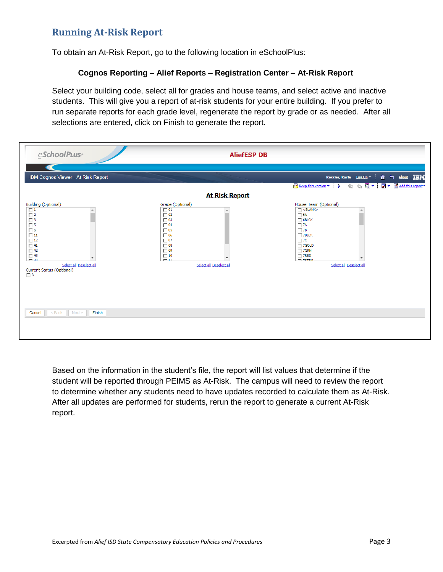## **Running At-Risk Report**

To obtain an At-Risk Report, go to the following location in eSchoolPlus:

#### **Cognos Reporting – Alief Reports – Registration Center – At-Risk Report**

Select your building code, select all for grades and house teams, and select active and inactive students. This will give you a report of at-risk students for your entire building. If you prefer to run separate reports for each grade level, regenerate the report by grade or as needed. After all selections are entered, click on Finish to generate the report.

| eSchoolPLus+                                                                                                                                                                                                                           | <b>AliefESP DB</b>                                                                                                                                                                         |                                                                                                                                                                                                                                                                                                                                                |  |  |  |  |
|----------------------------------------------------------------------------------------------------------------------------------------------------------------------------------------------------------------------------------------|--------------------------------------------------------------------------------------------------------------------------------------------------------------------------------------------|------------------------------------------------------------------------------------------------------------------------------------------------------------------------------------------------------------------------------------------------------------------------------------------------------------------------------------------------|--|--|--|--|
|                                                                                                                                                                                                                                        |                                                                                                                                                                                            |                                                                                                                                                                                                                                                                                                                                                |  |  |  |  |
| IBM Cognos Viewer - At Risk Report                                                                                                                                                                                                     |                                                                                                                                                                                            | Kessler, Karla Log On v   A + About IBM                                                                                                                                                                                                                                                                                                        |  |  |  |  |
| Add this report v<br>Keep this version<br>强▼<br>冨<br>+<br>卡<br>$\triangleright$<br>٠<br><b>At Risk Report</b>                                                                                                                          |                                                                                                                                                                                            |                                                                                                                                                                                                                                                                                                                                                |  |  |  |  |
| <b>Building (Optional)</b><br>$\boxed{1}$<br>$\Box$ 2<br>$\Box$ 3<br>$\frac{1}{\Box}$ 5<br>$\Box$ 11<br>$\Box$ 12<br>$\Box$ 41<br>$\Box$ 42<br>$\Box$ 43<br>$ \mu$<br>Select all Deselect all<br>Current Status (Optional)<br>$\Box$ A | Grade (Optional)<br>$\Box$ 01<br>$\Box$ 02<br>$\Box$ 03<br>$\Box$ 04<br>$\Box$ 05<br>$\Box$ 06<br>$\Box$ 07<br>$\Box$ 08<br>$\Box$ 09<br>$\Box$ 10<br>$\sim$ 11<br>Select all Deselect all | House Team (Optional)<br>$\Box$ <blank><br/><math>\Box</math> 6A<br/><math>\Box</math> 6BLCK<br/><math>\Box</math> 7A<br/><math>\Box</math> 7B<br/><math>\Box</math> 7BLCK<br/><math>\Box</math> 7C<br/><math>\Box</math> 7GOLD<br/><math>\Box</math> 7GRN<br/><math>\Box</math> 7RED<br/><b>THE PETEM</b><br/>Select all Deselect all</blank> |  |  |  |  |
| $<$ Back<br>Next<br>Finish<br>Cancel                                                                                                                                                                                                   |                                                                                                                                                                                            |                                                                                                                                                                                                                                                                                                                                                |  |  |  |  |

Based on the information in the student's file, the report will list values that determine if the student will be reported through PEIMS as At-Risk. The campus will need to review the report to determine whether any students need to have updates recorded to calculate them as At-Risk. After all updates are performed for students, rerun the report to generate a current At-Risk report.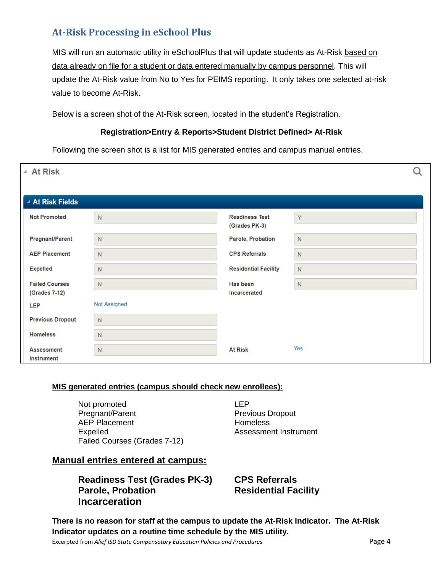# **At-Risk Processing in eSchool Plus**

MIS will run an automatic utility in eSchoolPlus that will update students as At-Risk based on data already on file for a student or data entered manually by campus personnel. This will update the At-Risk value from No to Yes for PEIMS reporting. It only takes one selected at-risk value to become At-Risk.

Below is a screen shot of the At-Risk screen, located in the student's Registration.

#### **Registration>Entry & Reports>Student District Defined> At-Risk**

Following the screen shot is a list for MIS generated entries and campus manual entries.

| ▲ At Risk                              |                     |                                        |           |  |
|----------------------------------------|---------------------|----------------------------------------|-----------|--|
| ▲ At Risk Fields                       |                     |                                        |           |  |
| <b>Not Promoted</b>                    | N                   | <b>Readiness Test</b><br>(Grades PK-3) | Y         |  |
| <b>Pregnant/Parent</b>                 | ${\sf N}$           | Parole, Probation                      | N         |  |
| <b>AEP Placement</b>                   | N                   | <b>CPS Referrals</b>                   | ${\sf N}$ |  |
| <b>Expelled</b>                        | ${\sf N}$           | <b>Residential Facility</b>            | ${\sf N}$ |  |
| <b>Failed Courses</b><br>(Grades 7-12) | ${\sf N}$           | Has been<br><b>Incarcerated</b>        | ${\sf N}$ |  |
| <b>LEP</b>                             | <b>Not Assigned</b> |                                        |           |  |
| <b>Previous Dropout</b>                | N                   |                                        |           |  |
| <b>Homeless</b>                        | N                   |                                        |           |  |
| <b>Assessment</b><br><b>Instrument</b> | ${\sf N}$           | <b>At Risk</b>                         | Yes       |  |

#### **MIS generated entries (campus should check new enrollees):**

Not promoted LEP Pregnant/Parent **Previous Dropout** AEP Placement **Homeless** Expelled **Assessment Instrument** Failed Courses (Grades 7-12)

#### **Manual entries entered at campus:**

# **Readiness Test (Grades PK-3) CPS Referrals Incarceration**

**Residential Facility** 

**There is no reason for staff at the campus to update the At-Risk Indicator. The At-Risk Indicator updates on a routine time schedule by the MIS utility.**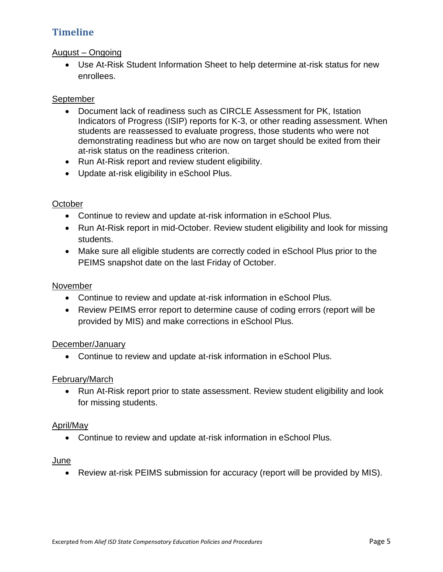# **Timeline**

#### August – Ongoing

 Use At-Risk Student Information Sheet to help determine at-risk status for new enrollees.

#### **September**

- Document lack of readiness such as CIRCLE Assessment for PK, Istation Indicators of Progress (ISIP) reports for K-3, or other reading assessment. When students are reassessed to evaluate progress, those students who were not demonstrating readiness but who are now on target should be exited from their at-risk status on the readiness criterion.
- Run At-Risk report and review student eligibility.
- Update at-risk eligibility in eSchool Plus.

#### **October**

- Continue to review and update at-risk information in eSchool Plus.
- Run At-Risk report in mid-October. Review student eligibility and look for missing students.
- Make sure all eligible students are correctly coded in eSchool Plus prior to the PEIMS snapshot date on the last Friday of October.

#### November

- Continue to review and update at-risk information in eSchool Plus.
- Review PEIMS error report to determine cause of coding errors (report will be provided by MIS) and make corrections in eSchool Plus.

#### December/January

Continue to review and update at-risk information in eSchool Plus.

#### February/March

• Run At-Risk report prior to state assessment. Review student eligibility and look for missing students.

#### April/May

Continue to review and update at-risk information in eSchool Plus.

#### **June**

Review at-risk PEIMS submission for accuracy (report will be provided by MIS).